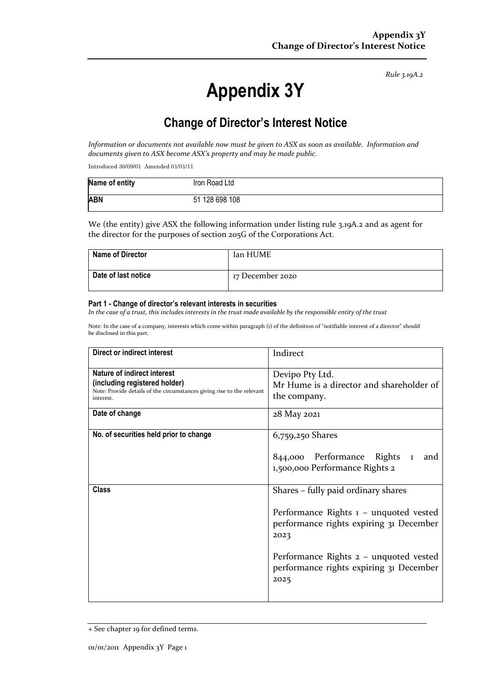*Rule 3.19A.2*

# **Appendix 3Y**

# **Change of Director's Interest Notice**

*Information or documents not available now must be given to ASX as soon as available. Information and documents given to ASX become ASX's property and may be made public.*

Introduced 30/09/01 Amended 01/01/11

| Name of entity | Iron Road Ltd  |
|----------------|----------------|
| <b>ABN</b>     | 51 128 698 108 |

We (the entity) give ASX the following information under listing rule 3.19A.2 and as agent for the director for the purposes of section 205G of the Corporations Act.

| <b>Name of Director</b> | Ian HUME         |
|-------------------------|------------------|
| Date of last notice     | 17 December 2020 |

#### **Part 1 - Change of director's relevant interests in securities**

*In the case of a trust, this includes interests in the trust made available by the responsible entity of the trust*

Note: In the case of a company, interests which come within paragraph (i) of the definition of "notifiable interest of a director" should be disclosed in this part.

| Direct or indirect interest                                                                                                                         | Indirect                                                                                                                                                                                                                      |
|-----------------------------------------------------------------------------------------------------------------------------------------------------|-------------------------------------------------------------------------------------------------------------------------------------------------------------------------------------------------------------------------------|
| Nature of indirect interest<br>(including registered holder)<br>Note: Provide details of the circumstances giving rise to the relevant<br>interest. | Devipo Pty Ltd.<br>Mr Hume is a director and shareholder of<br>the company.                                                                                                                                                   |
| Date of change                                                                                                                                      | 28 May 2021                                                                                                                                                                                                                   |
| No. of securities held prior to change                                                                                                              | 6,759,250 Shares<br>844,000 Performance Rights 1<br>and<br>1,500,000 Performance Rights 2                                                                                                                                     |
| <b>Class</b>                                                                                                                                        | Shares – fully paid ordinary shares<br>Performance Rights 1 - unquoted vested<br>performance rights expiring 31 December<br>2023<br>Performance Rights 2 – unquoted vested<br>performance rights expiring 31 December<br>2025 |

<sup>+</sup> See chapter 19 for defined terms.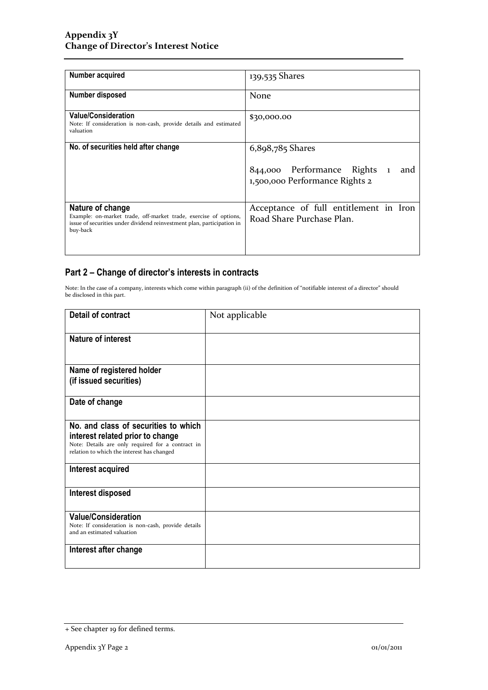| <b>Number acquired</b>                                                                                                                                 | 139,535 Shares                                                        |
|--------------------------------------------------------------------------------------------------------------------------------------------------------|-----------------------------------------------------------------------|
| Number disposed                                                                                                                                        | None                                                                  |
| <b>Value/Consideration</b><br>Note: If consideration is non-cash, provide details and estimated<br>valuation                                           | \$30,000.00                                                           |
| No. of securities held after change                                                                                                                    | 6,898,785 Shares                                                      |
|                                                                                                                                                        | 844,000 Performance Rights 1<br>and<br>1,500,000 Performance Rights 2 |
| Nature of change                                                                                                                                       | Acceptance of full entitlement in Iron                                |
| Example: on-market trade, off-market trade, exercise of options,<br>issue of securities under dividend reinvestment plan, participation in<br>buy-back | Road Share Purchase Plan.                                             |

### **Part 2 – Change of director's interests in contracts**

Note: In the case of a company, interests which come within paragraph (ii) of the definition of "notifiable interest of a director" should be disclosed in this part.

| <b>Detail of contract</b>                                                                                                                                                   | Not applicable |
|-----------------------------------------------------------------------------------------------------------------------------------------------------------------------------|----------------|
| <b>Nature of interest</b>                                                                                                                                                   |                |
| Name of registered holder<br>(if issued securities)                                                                                                                         |                |
| Date of change                                                                                                                                                              |                |
| No. and class of securities to which<br>interest related prior to change<br>Note: Details are only required for a contract in<br>relation to which the interest has changed |                |
| Interest acquired                                                                                                                                                           |                |
| <b>Interest disposed</b>                                                                                                                                                    |                |
| <b>Value/Consideration</b><br>Note: If consideration is non-cash, provide details<br>and an estimated valuation                                                             |                |
| Interest after change                                                                                                                                                       |                |

<sup>+</sup> See chapter 19 for defined terms.